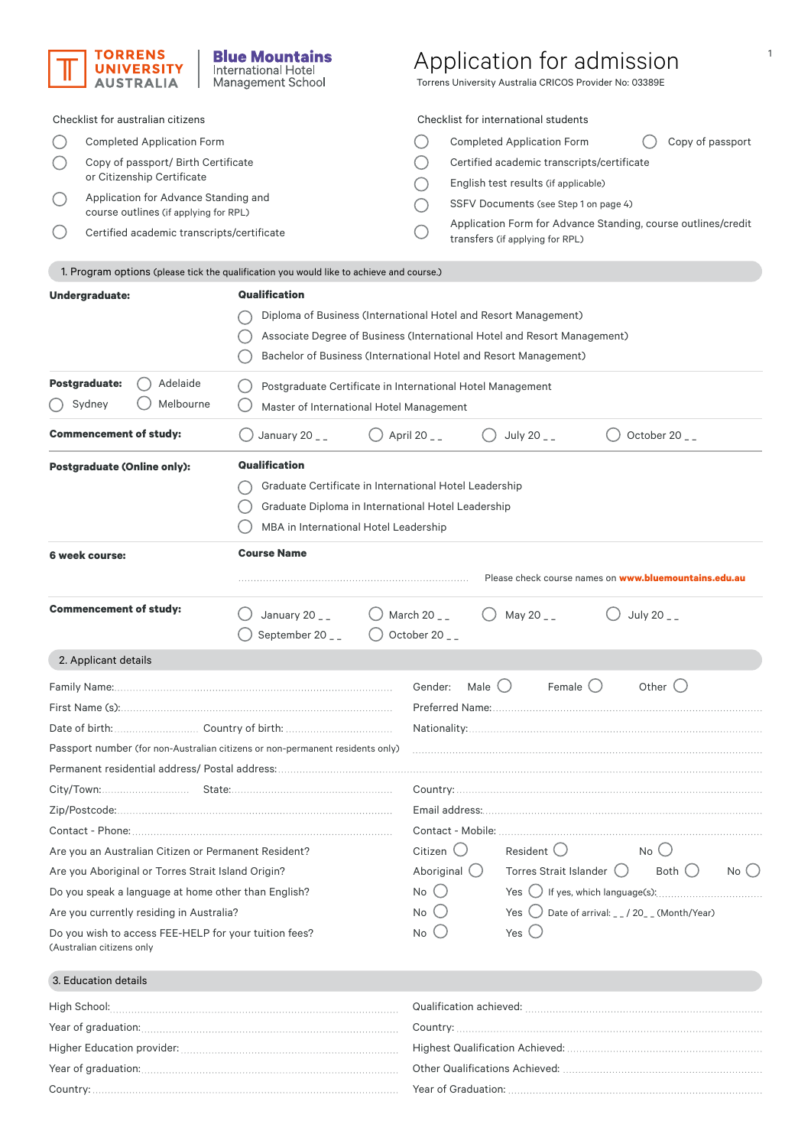|                                                                                                                                                                                                               | TORRENS<br>AUSTRALIA                                                                                                                                                                                                                                                       | <b>Blue Mountains</b><br>International Hotel<br>Management School                                                                                                      | 1<br>Application for admission<br>Torrens University Australia CRICOS Provider No: 03389E                                                                                                                                                                                                                                        |  |  |  |
|---------------------------------------------------------------------------------------------------------------------------------------------------------------------------------------------------------------|----------------------------------------------------------------------------------------------------------------------------------------------------------------------------------------------------------------------------------------------------------------------------|------------------------------------------------------------------------------------------------------------------------------------------------------------------------|----------------------------------------------------------------------------------------------------------------------------------------------------------------------------------------------------------------------------------------------------------------------------------------------------------------------------------|--|--|--|
| ( )<br>( )<br>( )                                                                                                                                                                                             | Checklist for australian citizens<br><b>Completed Application Form</b><br>Copy of passport/ Birth Certificate<br>or Citizenship Certificate<br>Application for Advance Standing and<br>course outlines (if applying for RPL)<br>Certified academic transcripts/certificate | 1. Program options (please tick the qualification you would like to achieve and course.)                                                                               | Checklist for international students<br>Copy of passport<br><b>Completed Application Form</b><br>Certified academic transcripts/certificate<br>English test results (if applicable)<br>SSFV Documents (see Step 1 on page 4)<br>Application Form for Advance Standing, course outlines/credit<br>transfers (if applying for RPL) |  |  |  |
|                                                                                                                                                                                                               | Undergraduate:<br>Postgraduate:<br>Adelaide                                                                                                                                                                                                                                | Qualification                                                                                                                                                          | Diploma of Business (International Hotel and Resort Management)<br>Associate Degree of Business (International Hotel and Resort Management)<br>Bachelor of Business (International Hotel and Resort Management)<br>Postgraduate Certificate in International Hotel Management                                                    |  |  |  |
|                                                                                                                                                                                                               | Melbourne<br>Sydney<br><b>Commencement of study:</b>                                                                                                                                                                                                                       | Master of International Hotel Management<br>January 20 $-$                                                                                                             | April 20<br>July 20<br>October 20                                                                                                                                                                                                                                                                                                |  |  |  |
|                                                                                                                                                                                                               | <b>Postgraduate (Online only):</b>                                                                                                                                                                                                                                         | Qualification<br>Graduate Certificate in International Hotel Leadership<br>Graduate Diploma in International Hotel Leadership<br>MBA in International Hotel Leadership |                                                                                                                                                                                                                                                                                                                                  |  |  |  |
|                                                                                                                                                                                                               | 6 week course:                                                                                                                                                                                                                                                             | <b>Course Name</b>                                                                                                                                                     | Please check course names on <b>www.bluemountains.edu.au</b>                                                                                                                                                                                                                                                                     |  |  |  |
|                                                                                                                                                                                                               | <b>Commencement of study:</b>                                                                                                                                                                                                                                              | January 20 __<br>September 20 __                                                                                                                                       | May 20 $-$<br>July 20 $-$<br>March 20<br>October 20                                                                                                                                                                                                                                                                              |  |  |  |
|                                                                                                                                                                                                               | 2. Applicant details                                                                                                                                                                                                                                                       |                                                                                                                                                                        |                                                                                                                                                                                                                                                                                                                                  |  |  |  |
|                                                                                                                                                                                                               |                                                                                                                                                                                                                                                                            | Passport number (for non-Australian citizens or non-permanent residents only)                                                                                          | Male $()$<br>Female ()<br>Other $()$<br>Gender:                                                                                                                                                                                                                                                                                  |  |  |  |
|                                                                                                                                                                                                               |                                                                                                                                                                                                                                                                            |                                                                                                                                                                        |                                                                                                                                                                                                                                                                                                                                  |  |  |  |
| Are you an Australian Citizen or Permanent Resident?<br>Are you Aboriginal or Torres Strait Island Origin?<br>Do you speak a language at home other than English?<br>Are you currently residing in Australia? |                                                                                                                                                                                                                                                                            |                                                                                                                                                                        | Citizen $()$<br>Resident ()<br>No()<br>Torres Strait Islander $\bigcirc$<br>Aboriginal $\bigcirc$<br>Both $\bigcirc$<br>No()<br>No()<br>Yes $\bigcup$ Date of arrival: __/20__(Month/Year)<br>No()                                                                                                                               |  |  |  |
|                                                                                                                                                                                                               | Do you wish to access FEE-HELP for your tuition fees?<br>(Australian citizens only                                                                                                                                                                                         |                                                                                                                                                                        | No (<br>Yes $\subset$                                                                                                                                                                                                                                                                                                            |  |  |  |
|                                                                                                                                                                                                               | 3. Education details                                                                                                                                                                                                                                                       |                                                                                                                                                                        |                                                                                                                                                                                                                                                                                                                                  |  |  |  |
|                                                                                                                                                                                                               |                                                                                                                                                                                                                                                                            |                                                                                                                                                                        |                                                                                                                                                                                                                                                                                                                                  |  |  |  |
|                                                                                                                                                                                                               |                                                                                                                                                                                                                                                                            |                                                                                                                                                                        |                                                                                                                                                                                                                                                                                                                                  |  |  |  |
|                                                                                                                                                                                                               |                                                                                                                                                                                                                                                                            |                                                                                                                                                                        |                                                                                                                                                                                                                                                                                                                                  |  |  |  |

**r** 

| <b>Other Qualificatio</b> |
|---------------------------|
| Year of Graduation        |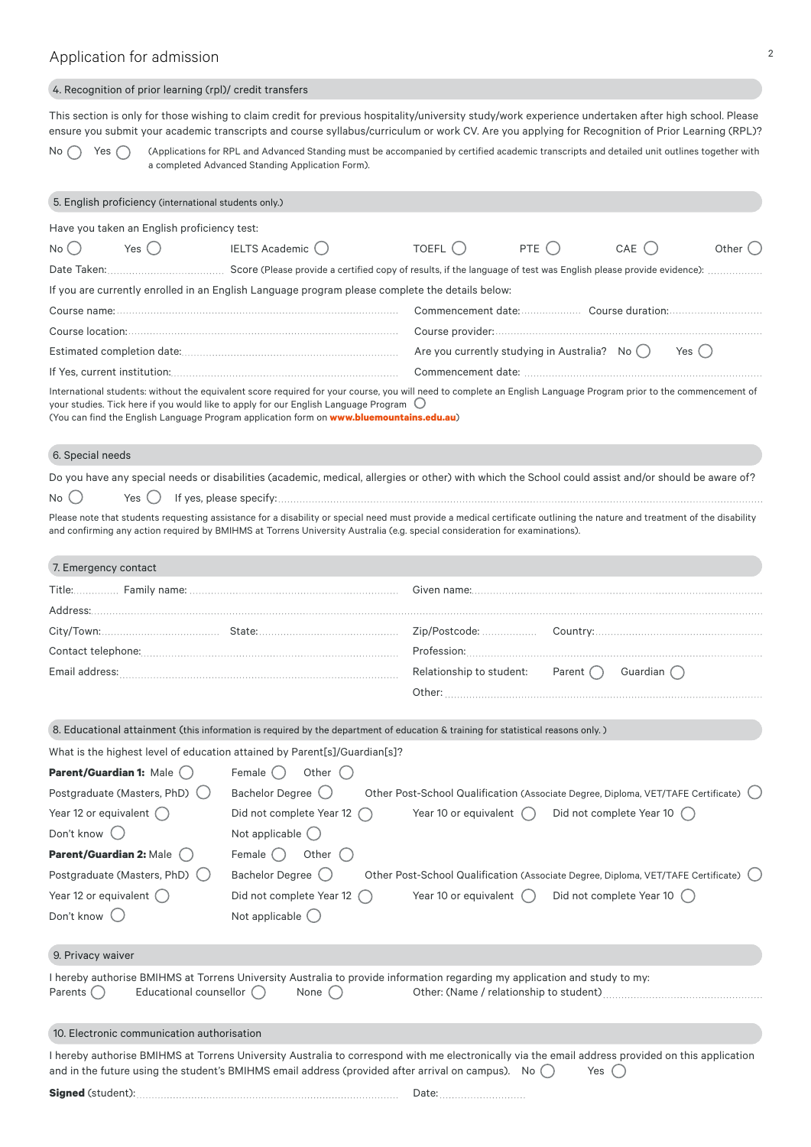#### 4. Recognition of prior learning (rpl)/ credit transfers

This section is only for those wishing to claim credit for previous hospitality/university study/work experience undertaken after high school. Please ensure you submit your academic transcripts and course syllabus/curriculum or work CV. Are you applying for Recognition of Prior Learning (RPL)?

No  $\bigcirc$  Yes  $\bigcirc$  (Applications for RPL and Advanced Standing must be accompanied by certified academic transcripts and detailed unit outlines together with a completed Advanced Standing Application Form).

| 5. English proficiency (international students only.)                     |                                                                                                                                                                                                                                                                                                                                                                                                                                                                |                                 |          |                                                                                     |            |
|---------------------------------------------------------------------------|----------------------------------------------------------------------------------------------------------------------------------------------------------------------------------------------------------------------------------------------------------------------------------------------------------------------------------------------------------------------------------------------------------------------------------------------------------------|---------------------------------|----------|-------------------------------------------------------------------------------------|------------|
| Have you taken an English proficiency test:                               |                                                                                                                                                                                                                                                                                                                                                                                                                                                                |                                 |          |                                                                                     |            |
| Yes $()$<br>No()                                                          | IELTS Academic (                                                                                                                                                                                                                                                                                                                                                                                                                                               | TOEFL $\bigcirc$                | PTE $()$ | $CAE$ $\bigcirc$                                                                    | Other $()$ |
|                                                                           |                                                                                                                                                                                                                                                                                                                                                                                                                                                                |                                 |          |                                                                                     |            |
|                                                                           | If you are currently enrolled in an English Language program please complete the details below:                                                                                                                                                                                                                                                                                                                                                                |                                 |          |                                                                                     |            |
|                                                                           |                                                                                                                                                                                                                                                                                                                                                                                                                                                                |                                 |          |                                                                                     |            |
|                                                                           |                                                                                                                                                                                                                                                                                                                                                                                                                                                                |                                 |          |                                                                                     |            |
|                                                                           |                                                                                                                                                                                                                                                                                                                                                                                                                                                                |                                 |          | Are you currently studying in Australia? No $\bigcirc$ Yes $\bigcirc$               |            |
|                                                                           |                                                                                                                                                                                                                                                                                                                                                                                                                                                                |                                 |          |                                                                                     |            |
|                                                                           | International students: without the equivalent score required for your course, you will need to complete an English Language Program prior to the commencement of<br>your studies. Tick here if you would like to apply for our English Language Program $\bigcup$<br>(You can find the English Language Program application form on www.bluemountains.edu.au)                                                                                                 |                                 |          |                                                                                     |            |
| 6. Special needs                                                          |                                                                                                                                                                                                                                                                                                                                                                                                                                                                |                                 |          |                                                                                     |            |
| No ( )<br>Yes $()$                                                        | Do you have any special needs or disabilities (academic, medical, allergies or other) with which the School could assist and/or should be aware of?<br>Please note that students requesting assistance for a disability or special need must provide a medical certificate outlining the nature and treatment of the disability<br>and confirming any action required by BMIHMS at Torrens University Australia (e.g. special consideration for examinations). |                                 |          |                                                                                     |            |
| 7. Emergency contact                                                      |                                                                                                                                                                                                                                                                                                                                                                                                                                                                |                                 |          |                                                                                     |            |
|                                                                           |                                                                                                                                                                                                                                                                                                                                                                                                                                                                |                                 |          |                                                                                     |            |
|                                                                           |                                                                                                                                                                                                                                                                                                                                                                                                                                                                |                                 |          |                                                                                     |            |
|                                                                           |                                                                                                                                                                                                                                                                                                                                                                                                                                                                |                                 |          |                                                                                     |            |
|                                                                           |                                                                                                                                                                                                                                                                                                                                                                                                                                                                |                                 |          |                                                                                     |            |
|                                                                           |                                                                                                                                                                                                                                                                                                                                                                                                                                                                |                                 |          | Relationship to student: Parent $\bigcap$ Guardian $\bigcap$                        |            |
|                                                                           |                                                                                                                                                                                                                                                                                                                                                                                                                                                                |                                 |          |                                                                                     |            |
|                                                                           | 8. Educational attainment (this information is required by the department of education & training for statistical reasons only.)                                                                                                                                                                                                                                                                                                                               |                                 |          |                                                                                     |            |
|                                                                           | What is the highest level of education attained by Parent[s]/Guardian[s]?                                                                                                                                                                                                                                                                                                                                                                                      |                                 |          |                                                                                     |            |
| <b>Parent/Guardian 1:</b> Male $\bigcap$ Female $\bigcap$ Other $\bigcap$ |                                                                                                                                                                                                                                                                                                                                                                                                                                                                |                                 |          |                                                                                     |            |
|                                                                           | Postgraduate (Masters, PhD) (Bachelor Degree (Discorter Post-School Qualification (Associate Degree, Diploma, VET/TAFE Certificate) (Discorter Degree, Diploma, VET/TAFE Certificate)                                                                                                                                                                                                                                                                          |                                 |          |                                                                                     |            |
| Year 12 or equivalent $( )$                                               | Did not complete Year 12 $\bigcap$                                                                                                                                                                                                                                                                                                                                                                                                                             | Year 10 or equivalent ()        |          | Did not complete Year 10 ()                                                         |            |
| Don't know                                                                | Not applicable (                                                                                                                                                                                                                                                                                                                                                                                                                                               |                                 |          |                                                                                     |            |
| Parent/Guardian 2: Male                                                   | Other $()$<br>Female $( )$                                                                                                                                                                                                                                                                                                                                                                                                                                     |                                 |          |                                                                                     |            |
| Postgraduate (Masters, PhD)                                               | Bachelor Degree (                                                                                                                                                                                                                                                                                                                                                                                                                                              |                                 |          | Other Post-School Qualification (Associate Degree, Diploma, VET/TAFE Certificate) ( |            |
| Year 12 or equivalent ()                                                  | Did not complete Year 12                                                                                                                                                                                                                                                                                                                                                                                                                                       | Year 10 or equivalent $\bigcap$ |          | Did not complete Year 10 ()                                                         |            |
| Don't know                                                                | Not applicable (                                                                                                                                                                                                                                                                                                                                                                                                                                               |                                 |          |                                                                                     |            |
| 9. Privacy waiver                                                         |                                                                                                                                                                                                                                                                                                                                                                                                                                                                |                                 |          |                                                                                     |            |
| Educational counsellor (<br>Parents (                                     | I hereby authorise BMIHMS at Torrens University Australia to provide information regarding my application and study to my:<br>None ()                                                                                                                                                                                                                                                                                                                          |                                 |          |                                                                                     |            |
| 10. Electronic communication authorisation                                |                                                                                                                                                                                                                                                                                                                                                                                                                                                                |                                 |          |                                                                                     |            |
|                                                                           | I hereby authorise BMIHMS at Torrens University Australia to correspond with me electronically via the email address provided on this application<br>and in the future using the student's BMIHMS email address (provided after arrival on campus). No $( )$                                                                                                                                                                                                   |                                 |          | Yes $($                                                                             |            |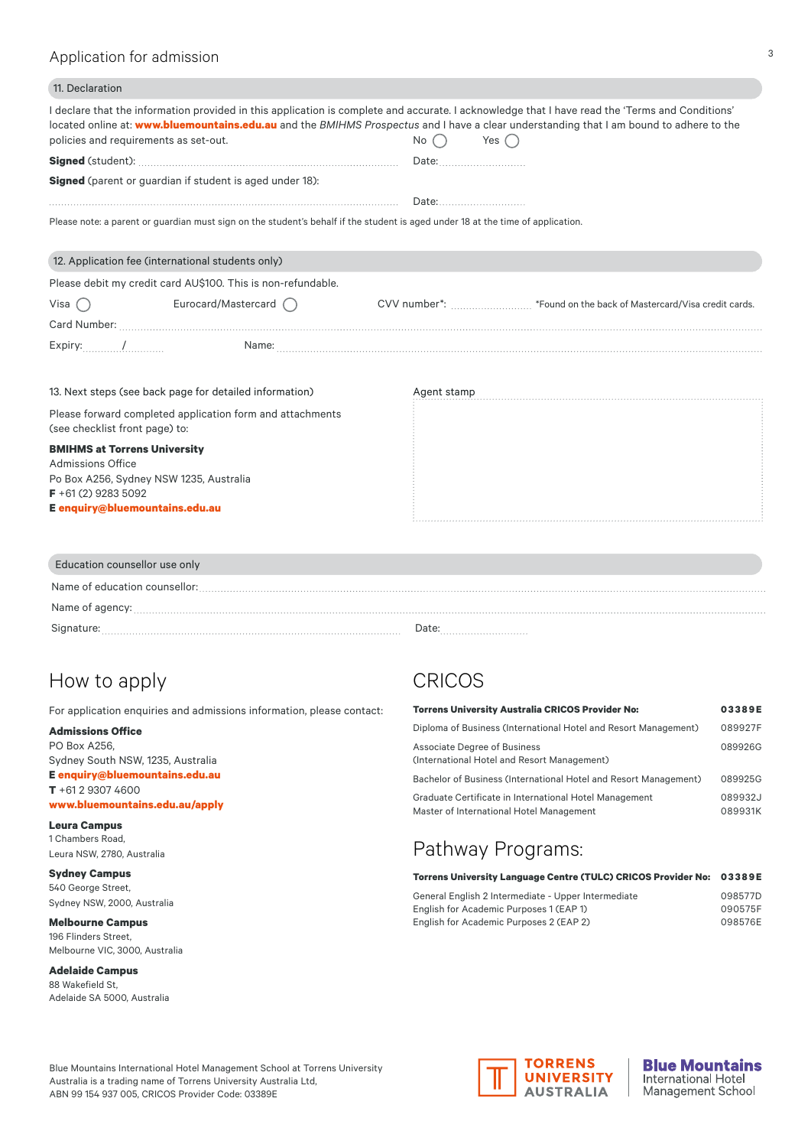## Application for admission

| 11. Declaration                                                                                                                                                |                                                                                                                                                                                                                                                                                            |                                                                                                                                                                                                                                |               |                                                                                                                                                                                                                                |  |
|----------------------------------------------------------------------------------------------------------------------------------------------------------------|--------------------------------------------------------------------------------------------------------------------------------------------------------------------------------------------------------------------------------------------------------------------------------------------|--------------------------------------------------------------------------------------------------------------------------------------------------------------------------------------------------------------------------------|---------------|--------------------------------------------------------------------------------------------------------------------------------------------------------------------------------------------------------------------------------|--|
| policies and requirements as set-out.                                                                                                                          | I declare that the information provided in this application is complete and accurate. I acknowledge that I have read the 'Terms and Conditions'<br>located online at: www.bluemountains.edu.au and the BMIHMS Prospectus and I have a clear understanding that I am bound to adhere to the | No $\bigcap$                                                                                                                                                                                                                   | Yes $\bigcap$ |                                                                                                                                                                                                                                |  |
|                                                                                                                                                                |                                                                                                                                                                                                                                                                                            | Date: the contract of the contract of the contract of the contract of the contract of the contract of the contract of the contract of the contract of the contract of the contract of the contract of the contract of the cont |               |                                                                                                                                                                                                                                |  |
|                                                                                                                                                                | <b>Signed</b> (parent or quardian if student is aged under 18):                                                                                                                                                                                                                            |                                                                                                                                                                                                                                |               |                                                                                                                                                                                                                                |  |
|                                                                                                                                                                |                                                                                                                                                                                                                                                                                            | Date:                                                                                                                                                                                                                          |               |                                                                                                                                                                                                                                |  |
|                                                                                                                                                                | Please note: a parent or guardian must sign on the student's behalf if the student is aged under 18 at the time of application.                                                                                                                                                            |                                                                                                                                                                                                                                |               |                                                                                                                                                                                                                                |  |
| 12. Application fee (international students only)                                                                                                              |                                                                                                                                                                                                                                                                                            |                                                                                                                                                                                                                                |               |                                                                                                                                                                                                                                |  |
|                                                                                                                                                                | Please debit my credit card AU\$100. This is non-refundable.                                                                                                                                                                                                                               |                                                                                                                                                                                                                                |               |                                                                                                                                                                                                                                |  |
| Visa $\bigcap$                                                                                                                                                 | Eurocard/Mastercard $\bigcap$                                                                                                                                                                                                                                                              |                                                                                                                                                                                                                                |               |                                                                                                                                                                                                                                |  |
|                                                                                                                                                                |                                                                                                                                                                                                                                                                                            |                                                                                                                                                                                                                                |               |                                                                                                                                                                                                                                |  |
|                                                                                                                                                                |                                                                                                                                                                                                                                                                                            |                                                                                                                                                                                                                                |               |                                                                                                                                                                                                                                |  |
|                                                                                                                                                                | 13. Next steps (see back page for detailed information)                                                                                                                                                                                                                                    |                                                                                                                                                                                                                                |               |                                                                                                                                                                                                                                |  |
|                                                                                                                                                                |                                                                                                                                                                                                                                                                                            |                                                                                                                                                                                                                                |               | Agent stamp experience and a state of the state of the state of the state of the state of the state of the state of the state of the state of the state of the state of the state of the state of the state of the state of th |  |
| (see checklist front page) to:                                                                                                                                 | Please forward completed application form and attachments                                                                                                                                                                                                                                  |                                                                                                                                                                                                                                |               |                                                                                                                                                                                                                                |  |
| <b>BMIHMS at Torrens University</b><br>Admissions Office<br>Po Box A256, Sydney NSW 1235, Australia<br>$F + 61(2)$ 9283 5092<br>E enquiry@bluemountains.edu.au |                                                                                                                                                                                                                                                                                            |                                                                                                                                                                                                                                |               |                                                                                                                                                                                                                                |  |
| Education counsellor use only                                                                                                                                  |                                                                                                                                                                                                                                                                                            |                                                                                                                                                                                                                                |               |                                                                                                                                                                                                                                |  |

| Name of agency: |       |
|-----------------|-------|
| Signature:      | Date: |

# How to apply

For application enquiries and admissions information, please contact:

#### **Admissions Office**

PO Box A256, Sydney South NSW, 1235, Australia **E [enquiry@bluemountains.edu.au](mailto:enquiry%40bluemountains.edu.au?subject=) T** +61 2 9307 4600

#### **[www.bluemountains.edu.au/apply](http://www.bluemountains.edu.au/apply)**

**Leura Campus** 1 Chambers Road, Leura NSW, 2780, Australia

**Sydney Campus** 540 George Street, Sydney NSW, 2000, Australia

#### **Melbourne Campus** 196 Flinders Street,

Melbourne VIC, 3000, Australia

## **Adelaide Campus**

88 Wakefield St, Adelaide SA 5000, Australia

# **CRICOS**

| <b>Torrens University Australia CRICOS Provider No:</b>                                            | 03389E             |
|----------------------------------------------------------------------------------------------------|--------------------|
| Diploma of Business (International Hotel and Resort Management)                                    | 089927F            |
| Associate Degree of Business<br>(International Hotel and Resort Management)                        | 089926G            |
| Bachelor of Business (International Hotel and Resort Management)                                   | 089925G            |
| Graduate Certificate in International Hotel Management<br>Master of International Hotel Management | 089932J<br>089931K |

# Pathway Programs:

| Torrens University Language Centre (TULC) CRICOS Provider No: 03389E |         |  |
|----------------------------------------------------------------------|---------|--|
| General English 2 Intermediate - Upper Intermediate                  | 098577D |  |
| English for Academic Purposes 1 (EAP 1)                              | 090575F |  |
| English for Academic Purposes 2 (EAP 2)                              | 098576E |  |

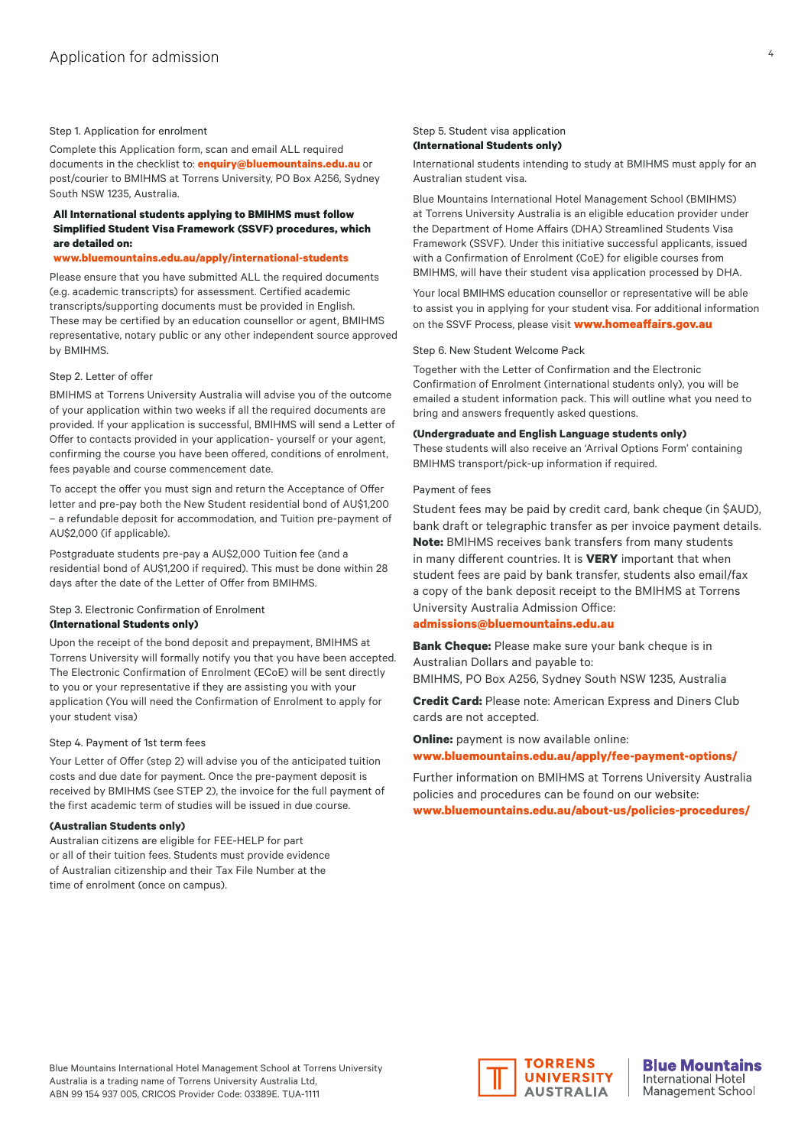#### Step 1. Application for enrolment

Complete this Application form, scan and email ALL required documents in the checklist to: **[enquiry@bluemountains.edu.au](mailto:enquiry%40bluemountains.edu.au?subject=)** or post/courier to BMIHMS at Torrens University, PO Box A256, Sydney South NSW 1235, Australia.

#### **All International students applying to BMIHMS must follow Simplified Student Visa Framework (SSVF) procedures, which are detailed on:**

#### **[www.bluemountains.edu.au/apply/international-students](http://www.bluemountains.edu.au/apply/international-students)**

Please ensure that you have submitted ALL the required documents (e.g. academic transcripts) for assessment. Certified academic transcripts/supporting documents must be provided in English. These may be certified by an education counsellor or agent, BMIHMS representative, notary public or any other independent source approved by BMIHMS.

#### Step 2. Letter of offer

BMIHMS at Torrens University Australia will advise you of the outcome of your application within two weeks if all the required documents are provided. If your application is successful, BMIHMS will send a Letter of Offer to contacts provided in your application- yourself or your agent, confirming the course you have been offered, conditions of enrolment, fees payable and course commencement date.

To accept the offer you must sign and return the Acceptance of Offer letter and pre-pay both the New Student residential bond of AU\$1,200 – a refundable deposit for accommodation, and Tuition pre-payment of AU\$2,000 (if applicable).

Postgraduate students pre-pay a AU\$2,000 Tuition fee (and a residential bond of AU\$1,200 if required). This must be done within 28 days after the date of the Letter of Offer from BMIHMS.

#### Step 3. Electronic Confirmation of Enrolment **(International Students only)**

Upon the receipt of the bond deposit and prepayment, BMIHMS at Torrens University will formally notify you that you have been accepted. The Electronic Confirmation of Enrolment (ECoE) will be sent directly to you or your representative if they are assisting you with your application (You will need the Confirmation of Enrolment to apply for your student visa)

#### Step 4. Payment of 1st term fees

Your Letter of Offer (step 2) will advise you of the anticipated tuition costs and due date for payment. Once the pre-payment deposit is received by BMIHMS (see STEP 2), the invoice for the full payment of the first academic term of studies will be issued in due course.

#### **(Australian Students only)**

Australian citizens are eligible for FEE-HELP for part or all of their tuition fees. Students must provide evidence of Australian citizenship and their Tax File Number at the time of enrolment (once on campus).

#### Step 5. Student visa application **(International Students only)**

International students intending to study at BMIHMS must apply for an Australian student visa.

Blue Mountains International Hotel Management School (BMIHMS) at Torrens University Australia is an eligible education provider under the Department of Home Affairs (DHA) Streamlined Students Visa Framework (SSVF). Under this initiative successful applicants, issued with a Confirmation of Enrolment (CoE) for eligible courses from BMIHMS, will have their student visa application processed by DHA.

Your local BMIHMS education counsellor or representative will be able to assist you in applying for your student visa. For additional information on the SSVF Process, please visit **[www.homeaffairs.gov.au](http://www.homeaffairs.gov.au)**

Step 6. New Student Welcome Pack

Together with the Letter of Confirmation and the Electronic Confirmation of Enrolment (international students only), you will be emailed a student information pack. This will outline what you need to bring and answers frequently asked questions.

#### **(Undergraduate and English Language students only)**

These students will also receive an 'Arrival Options Form' containing BMIHMS transport/pick-up information if required.

#### Payment of fees

Student fees may be paid by credit card, bank cheque (in \$AUD), bank draft or telegraphic transfer as per invoice payment details. **Note:** BMIHMS receives bank transfers from many students in many different countries. It is **VERY** important that when student fees are paid by bank transfer, students also email/fax a copy of the bank deposit receipt to the BMIHMS at Torrens University Australia Admission Office:

#### **[admissions@bluemountains.edu.au](mailto:admissions%40bluemountains.edu.au?subject=)**

**Bank Cheque:** Please make sure your bank cheque is in Australian Dollars and payable to:

BMIHMS, PO Box A256, Sydney South NSW 1235, Australia

**Credit Card:** Please note: American Express and Diners Club cards are not accepted.

**Online:** payment is now available online: **[www.bluemountains.edu.au/apply/fee-payment-options/](http://www.bluemountains.edu.au/apply/fee-payment-options/)**

Further information on BMIHMS at Torrens University Australia policies and procedures can be found on our website: **[www.bluemountains.edu.au/about-us/policies-procedures/](http://www.bluemountains.edu.au/about-us/policies-procedures/)**

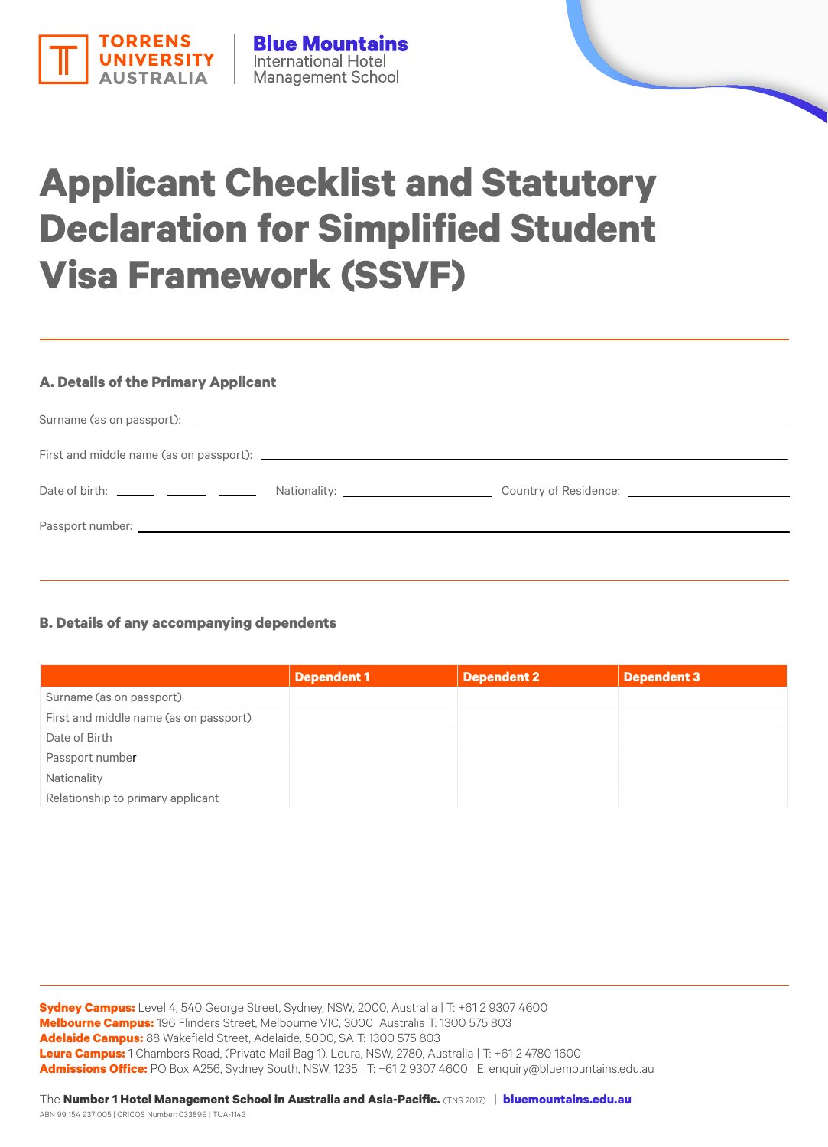

# **Applicant Checklist and Statutory Declaration for Simplified Student Visa Framework (SSVF)**

## **A. Details of the Primary Applicant**

## **B. Details of any accompanying dependents**

|                                        | <b>Dependent 1</b> | <b>Dependent 2</b> | <b>Dependent 3</b> |
|----------------------------------------|--------------------|--------------------|--------------------|
| Surname (as on passport)               |                    |                    |                    |
| First and middle name (as on passport) |                    |                    |                    |
| Date of Birth                          |                    |                    |                    |
| Passport number                        |                    |                    |                    |
| Nationality                            |                    |                    |                    |
| Relationship to primary applicant      |                    |                    |                    |

**Sydney Campus:** Level 4, 540 George Street, Sydney, NSW, 2000, Australia | T: +61 2 9307 4600 **Melbourne Campus:** 196 Flinders Street, Melbourne VIC, 3000 Australia T: 1300 575 803 **Adelaide Campus:** 88 Wakefield Street, Adelaide, 5000, SA T: 1300 575 803 **Leura Campus:** 1 Chambers Road, (Private Mail Bag 1), Leura, NSW, 2780, Australia | T: +61 2 4780 1600 **Admissions Office:** PO Box A256, Sydney South, NSW, 1235 | T: +61 2 9307 4600 | E: enquiry@bluemountains.edu.au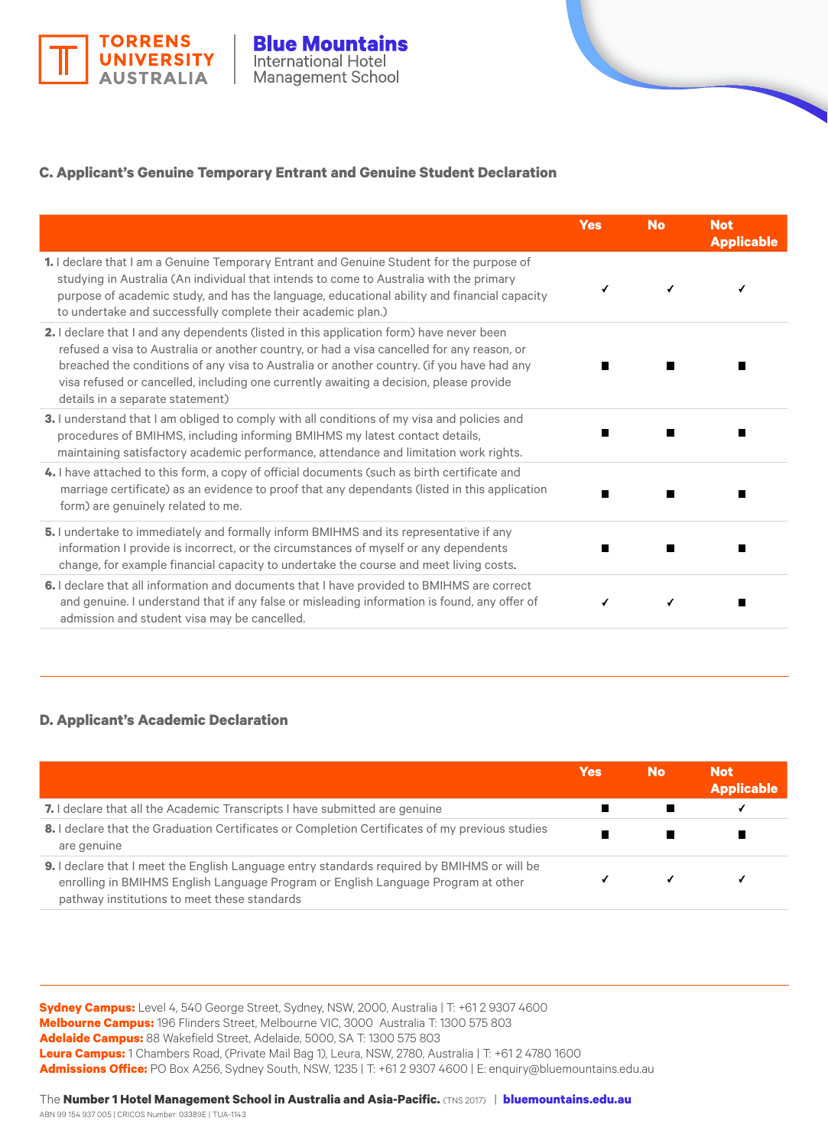



## **C. Applicant's Genuine Temporary Entrant and Genuine Student Declaration**

|                                                                                                                                                                                                                                                                                                                                                                                                                          | <b>Yes</b> | <b>No</b> | <b>Not</b><br><b>Applicable</b> |
|--------------------------------------------------------------------------------------------------------------------------------------------------------------------------------------------------------------------------------------------------------------------------------------------------------------------------------------------------------------------------------------------------------------------------|------------|-----------|---------------------------------|
| 1. I declare that I am a Genuine Temporary Entrant and Genuine Student for the purpose of<br>studying in Australia (An individual that intends to come to Australia with the primary<br>purpose of academic study, and has the language, educational ability and financial capacity<br>to undertake and successfully complete their academic plan.)                                                                      |            |           |                                 |
| <b>2.</b> I declare that I and any dependents (listed in this application form) have never been<br>refused a visa to Australia or another country, or had a visa cancelled for any reason, or<br>breached the conditions of any visa to Australia or another country. (if you have had any<br>visa refused or cancelled, including one currently awaiting a decision, please provide<br>details in a separate statement) |            |           |                                 |
| <b>3.</b> I understand that I am obliged to comply with all conditions of my visa and policies and<br>procedures of BMIHMS, including informing BMIHMS my latest contact details,<br>maintaining satisfactory academic performance, attendance and limitation work rights.                                                                                                                                               |            |           |                                 |
| 4. I have attached to this form, a copy of official documents (such as birth certificate and<br>marriage certificate) as an evidence to proof that any dependants (listed in this application<br>form) are genuinely related to me.                                                                                                                                                                                      | ш          |           |                                 |
| 5. I undertake to immediately and formally inform BMIHMS and its representative if any<br>information I provide is incorrect, or the circumstances of myself or any dependents<br>change, for example financial capacity to undertake the course and meet living costs.                                                                                                                                                  | ш          |           |                                 |
| 6. I declare that all information and documents that I have provided to BMIHMS are correct<br>and genuine. I understand that if any false or misleading information is found, any offer of<br>admission and student visa may be cancelled.                                                                                                                                                                               | ✔          |           |                                 |

## **D. Applicant's Academic Declaration**

|                                                                                                                                                                                                                                         | Yes | <b>No</b> | <b>Not</b><br><b>Applicable</b> |
|-----------------------------------------------------------------------------------------------------------------------------------------------------------------------------------------------------------------------------------------|-----|-----------|---------------------------------|
| <b>7.</b> I declare that all the Academic Transcripts I have submitted are genuine                                                                                                                                                      |     |           |                                 |
| 8. I declare that the Graduation Certificates or Completion Certificates of my previous studies<br>are genuine                                                                                                                          |     |           |                                 |
| <b>9.</b> I declare that I meet the English Language entry standards required by BMIHMS or will be<br>enrolling in BMIHMS English Language Program or English Language Program at other<br>pathway institutions to meet these standards |     |           |                                 |

**Sydney Campus:** Level 4, 540 George Street, Sydney, NSW, 2000, Australia | T: +61 2 9307 4600 **Melbourne Campus:** 196 Flinders Street, Melbourne VIC, 3000 Australia T: 1300 575 803 **Adelaide Campus:** 88 Wakefield Street, Adelaide, 5000, SA T: 1300 575 803 **Leura Campus:** 1 Chambers Road, (Private Mail Bag 1), Leura, NSW, 2780, Australia | T: +61 2 4780 1600 **Admissions Office:** PO Box A256, Sydney South, NSW, 1235 | T: +61 2 9307 4600 | E: enquiry@bluemountains.edu.au

The **Number 1 Hotel Management School in Australia and Asia-Pacific.** (TNS 2017) | **[bluemountains.edu.au](http://bluemountains.edu.au)**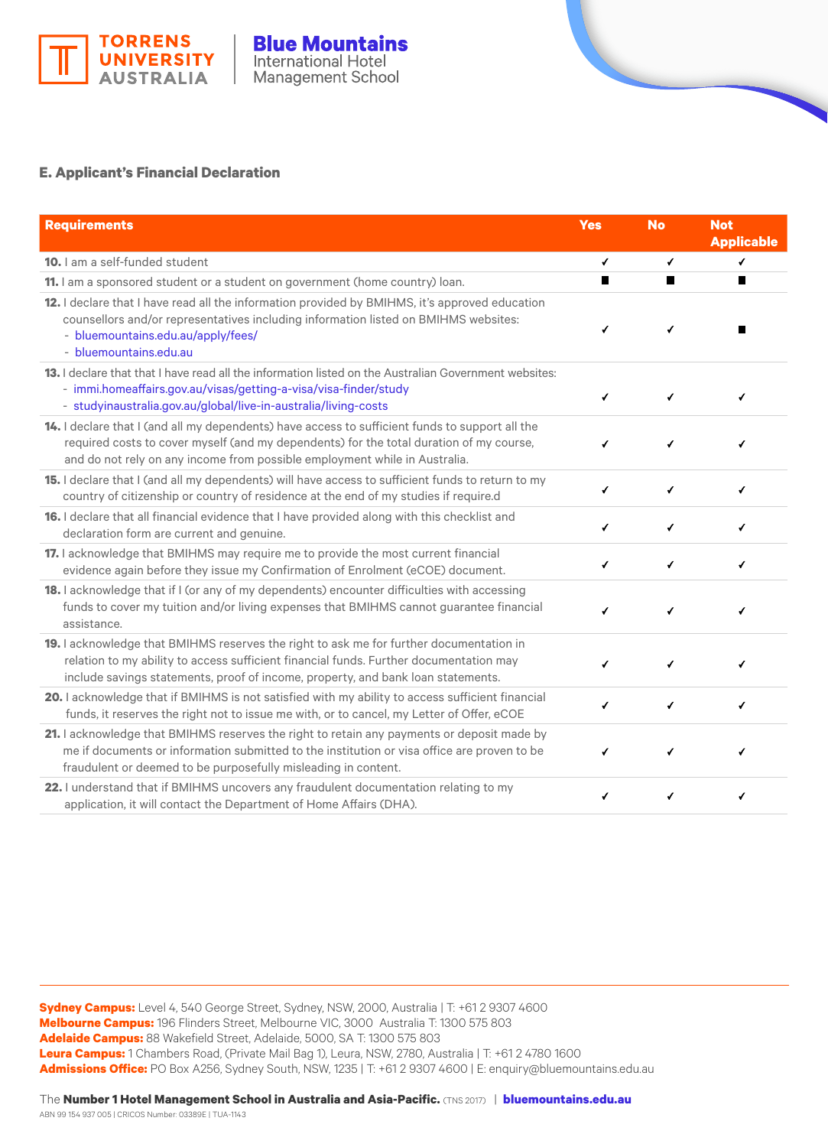

## **E. Applicant's Financial Declaration**

| <b>Requirements</b>                                                                                                                                                                                                                                                      | <b>Yes</b> | <b>No</b> | <b>Not</b><br><b>Applicable</b> |
|--------------------------------------------------------------------------------------------------------------------------------------------------------------------------------------------------------------------------------------------------------------------------|------------|-----------|---------------------------------|
| 10. I am a self-funded student                                                                                                                                                                                                                                           | ✔          | ✔         | ✔                               |
| 11. I am a sponsored student or a student on government (home country) loan.                                                                                                                                                                                             | П          |           | $\blacksquare$                  |
| 12. I declare that I have read all the information provided by BMIHMS, it's approved education<br>counsellors and/or representatives including information listed on BMIHMS websites:<br>- bluemountains.edu.au/apply/fees/<br>- bluemountains.edu.au                    | ✔          | ✔         | ш                               |
| 13. I declare that that I have read all the information listed on the Australian Government websites:<br>- immi.homeaffairs.gov.au/visas/getting-a-visa/visa-finder/study<br>- studyinaustralia.gov.au/global/live-in-australia/living-costs                             | ✔          | ✔         | ✔                               |
| 14. I declare that I (and all my dependents) have access to sufficient funds to support all the<br>required costs to cover myself (and my dependents) for the total duration of my course,<br>and do not rely on any income from possible employment while in Australia. | √          | ✔         | √                               |
| 15. I declare that I (and all my dependents) will have access to sufficient funds to return to my<br>country of citizenship or country of residence at the end of my studies if require.d                                                                                | ✔          | ✔         | ✔                               |
| 16. I declare that all financial evidence that I have provided along with this checklist and<br>declaration form are current and genuine.                                                                                                                                | ✔          | ✔         | ✔                               |
| 17. I acknowledge that BMIHMS may require me to provide the most current financial<br>evidence again before they issue my Confirmation of Enrolment (eCOE) document.                                                                                                     | √          | ✔         | √                               |
| 18. I acknowledge that if I (or any of my dependents) encounter difficulties with accessing<br>funds to cover my tuition and/or living expenses that BMIHMS cannot guarantee financial<br>assistance.                                                                    | ✔          |           | ✔                               |
| 19. I acknowledge that BMIHMS reserves the right to ask me for further documentation in<br>relation to my ability to access sufficient financial funds. Further documentation may<br>include savings statements, proof of income, property, and bank loan statements.    | ✔          | ✔         | ✔                               |
| 20. I acknowledge that if BMIHMS is not satisfied with my ability to access sufficient financial<br>funds, it reserves the right not to issue me with, or to cancel, my Letter of Offer, eCOE                                                                            | ✔          | ✔         | ✔                               |
| 21. I acknowledge that BMIHMS reserves the right to retain any payments or deposit made by<br>me if documents or information submitted to the institution or visa office are proven to be<br>fraudulent or deemed to be purposefully misleading in content.              | ✔          | ✔         | ✔                               |
| 22. I understand that if BMIHMS uncovers any fraudulent documentation relating to my<br>application, it will contact the Department of Home Affairs (DHA).                                                                                                               | ✔          | ✔         | √                               |

**Sydney Campus:** Level 4, 540 George Street, Sydney, NSW, 2000, Australia | T: +61 2 9307 4600 **Melbourne Campus:** 196 Flinders Street, Melbourne VIC, 3000 Australia T: 1300 575 803 **Adelaide Campus:** 88 Wakefield Street, Adelaide, 5000, SA T: 1300 575 803 **Leura Campus:** 1 Chambers Road, (Private Mail Bag 1), Leura, NSW, 2780, Australia | T: +61 2 4780 1600 **Admissions Office:** PO Box A256, Sydney South, NSW, 1235 | T: +61 2 9307 4600 | E: enquiry@bluemountains.edu.au

The **Number 1 Hotel Management School in Australia and Asia-Pacific.** (TNS 2017) | **[bluemountains.edu.au](http://bluemountains.edu.au)**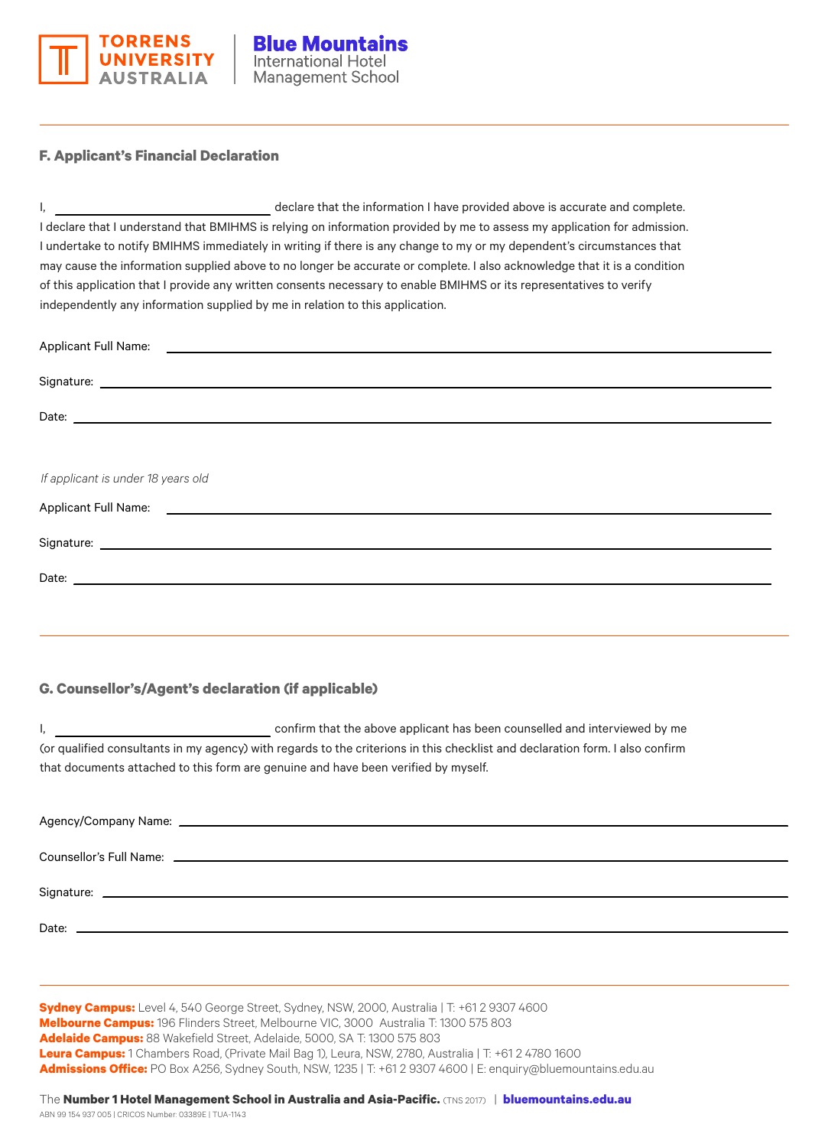

## **F. Applicant's Financial Declaration**

I, declare that the information I have provided above is accurate and complete. I declare that I understand that BMIHMS is relying on information provided by me to assess my application for admission. I undertake to notify BMIHMS immediately in writing if there is any change to my or my dependent's circumstances that may cause the information supplied above to no longer be accurate or complete. I also acknowledge that it is a condition of this application that I provide any written consents necessary to enable BMIHMS or its representatives to verify independently any information supplied by me in relation to this application.

| If applicant is under 18 years old |
|------------------------------------|
|                                    |
|                                    |
|                                    |
|                                    |
|                                    |
|                                    |
|                                    |

## **G. Counsellor's/Agent's declaration (if applicable)**

I, confirm that the above applicant has been counselled and interviewed by me (or qualified consultants in my agency) with regards to the criterions in this checklist and declaration form. I also confirm that documents attached to this form are genuine and have been verified by myself.

**Sydney Campus:** Level 4, 540 George Street, Sydney, NSW, 2000, Australia | T: +61 2 9307 4600 **Melbourne Campus:** 196 Flinders Street, Melbourne VIC, 3000 Australia T: 1300 575 803 **Adelaide Campus:** 88 Wakefield Street, Adelaide, 5000, SA T: 1300 575 803 **Leura Campus:** 1 Chambers Road, (Private Mail Bag 1), Leura, NSW, 2780, Australia | T: +61 2 4780 1600 **Admissions Office:** PO Box A256, Sydney South, NSW, 1235 | T: +61 2 9307 4600 | E: enquiry@bluemountains.edu.au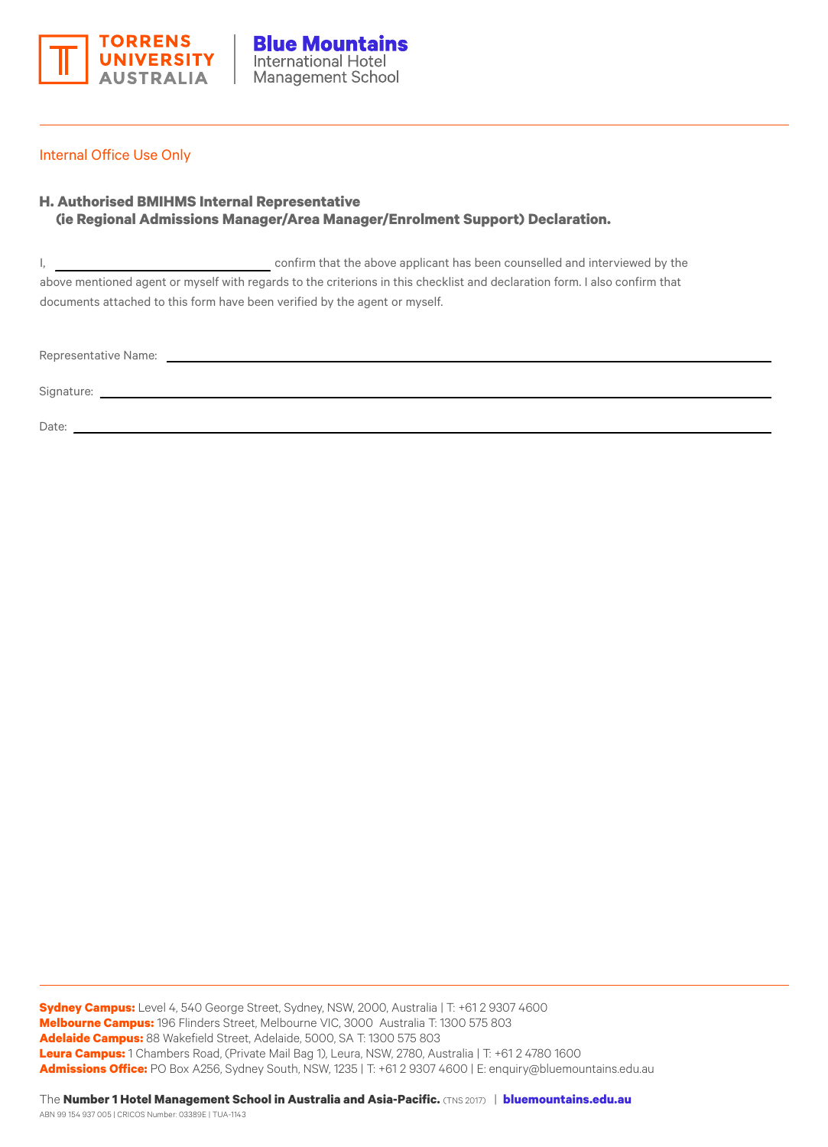

## Internal Office Use Only

## **H. Authorised BMIHMS Internal Representative (ie Regional Admissions Manager/Area Manager/Enrolment Support) Declaration.**

I, confirm that the above applicant has been counselled and interviewed by the above mentioned agent or myself with regards to the criterions in this checklist and declaration form. I also confirm that documents attached to this form have been verified by the agent or myself.

Representative Name: <u>Immerse and the series of the series of the series of the series of the series of the series of the series of the series of the series of the series of the series of the series of the series of the se</u>

Signature: \_\_\_

Date: \_

**Sydney Campus:** Level 4, 540 George Street, Sydney, NSW, 2000, Australia | T: +61 2 9307 4600 **Melbourne Campus:** 196 Flinders Street, Melbourne VIC, 3000 Australia T: 1300 575 803 **Adelaide Campus:** 88 Wakefield Street, Adelaide, 5000, SA T: 1300 575 803 **Leura Campus:** 1 Chambers Road, (Private Mail Bag 1), Leura, NSW, 2780, Australia | T: +61 2 4780 1600 **Admissions Office:** PO Box A256, Sydney South, NSW, 1235 | T: +61 2 9307 4600 | E: enquiry@bluemountains.edu.au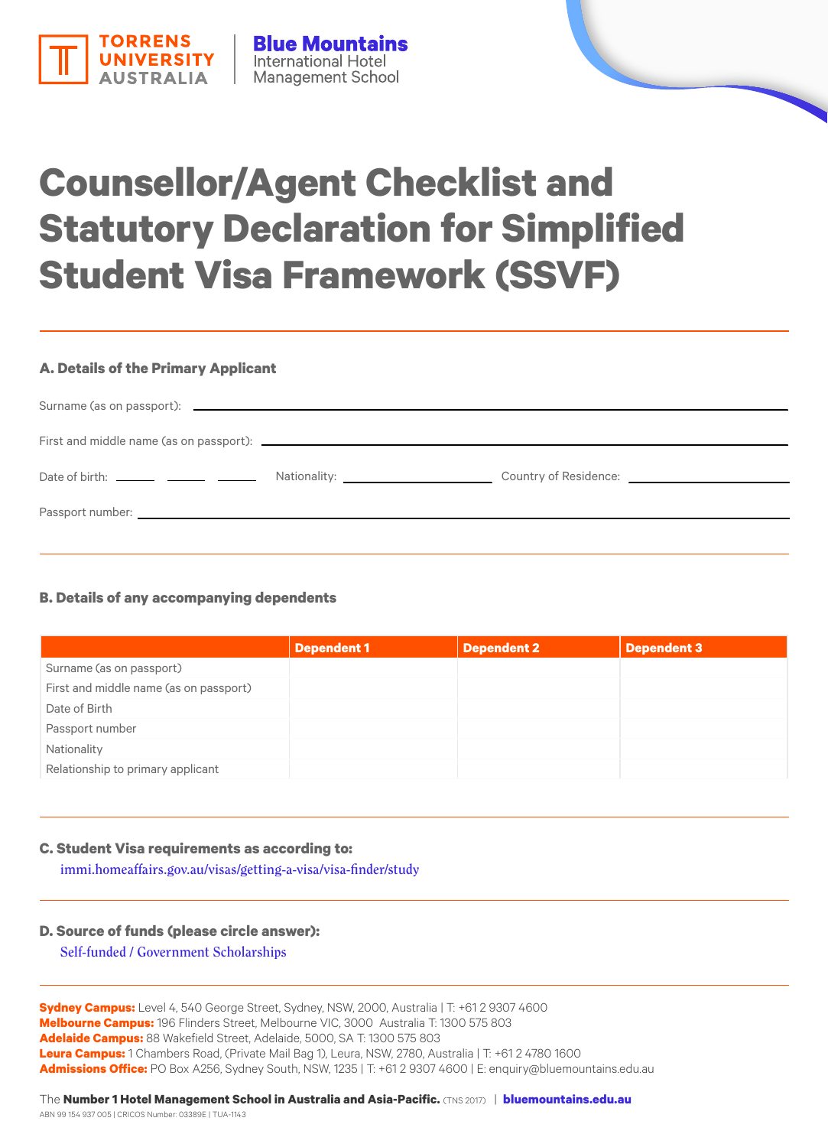

**Blue Mountains** 

**International Hotel Management School** 

#### **A. Details of the Primary Applicant**

**TORRENS** 

**UNIVERSITY** 

## **B. Details of any accompanying dependents**

|                                        | <b>Dependent 1</b> | <b>Dependent 2</b> | <b>Dependent 3</b> |
|----------------------------------------|--------------------|--------------------|--------------------|
| Surname (as on passport)               |                    |                    |                    |
| First and middle name (as on passport) |                    |                    |                    |
| Date of Birth                          |                    |                    |                    |
| Passport number                        |                    |                    |                    |
| Nationality                            |                    |                    |                    |
| Relationship to primary applicant      |                    |                    |                    |

#### **C. Student Visa requirements as according to:**

**[immi.homeaffairs.gov.au/visas/getting-a-visa/visa-finder/study](https://immi.homeaffairs.gov.au/visas/getting-a-visa/visa-finder/study)**

#### **D. Source of funds (please circle answer):**

**Self-funded / Government Scholarships**

**Sydney Campus:** Level 4, 540 George Street, Sydney, NSW, 2000, Australia | T: +61 2 9307 4600 **Melbourne Campus:** 196 Flinders Street, Melbourne VIC, 3000 Australia T: 1300 575 803 **Adelaide Campus:** 88 Wakefield Street, Adelaide, 5000, SA T: 1300 575 803 **Leura Campus:** 1 Chambers Road, (Private Mail Bag 1), Leura, NSW, 2780, Australia | T: +61 2 4780 1600 **Admissions Office:** PO Box A256, Sydney South, NSW, 1235 | T: +61 2 9307 4600 | E: enquiry@bluemountains.edu.au

The **Number 1 Hotel Management School in Australia and Asia-Pacific.** (TNS 2017) | **[bluemountains.edu.au](http://bluemountains.edu.au)**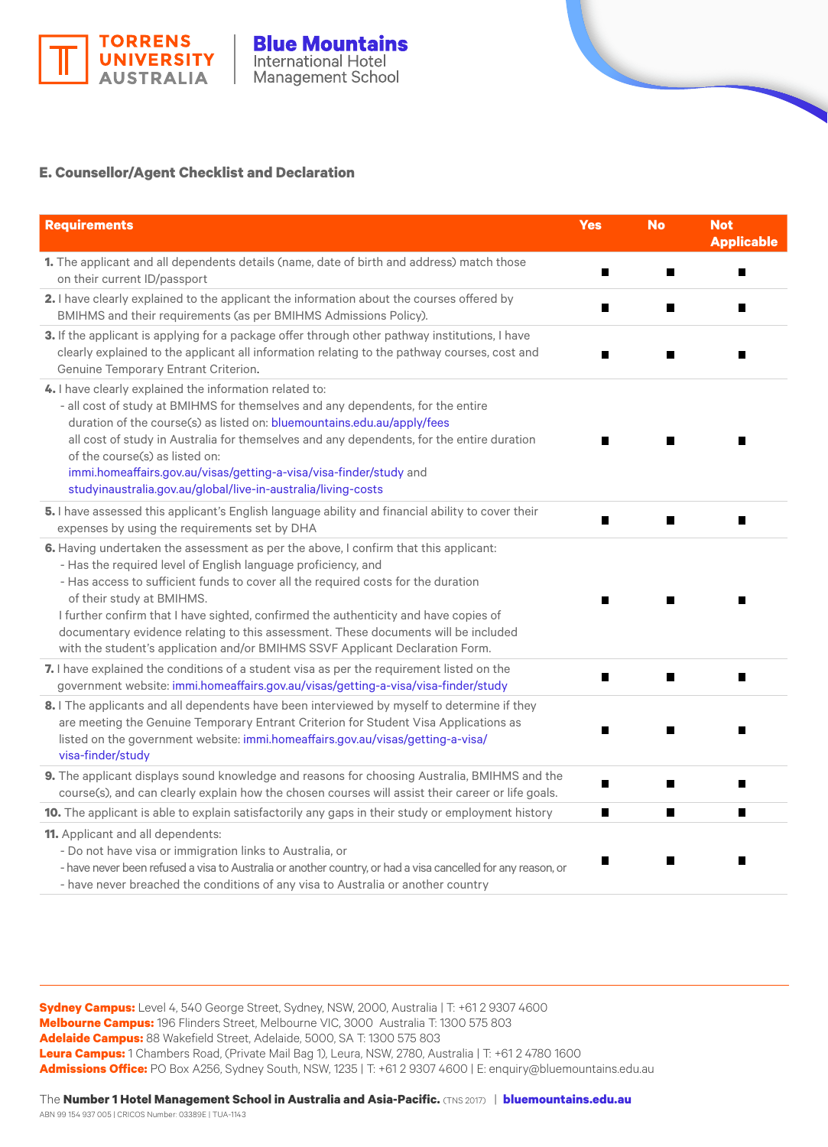

## **E. Counsellor/Agent Checklist and Declaration**

| <b>Requirements</b>                                                                                                                                                                                                                                                                                                                                                                                                                                                                                                                    | <b>Yes</b>     | <b>No</b> | <b>Not</b><br><b>Applicable</b> |
|----------------------------------------------------------------------------------------------------------------------------------------------------------------------------------------------------------------------------------------------------------------------------------------------------------------------------------------------------------------------------------------------------------------------------------------------------------------------------------------------------------------------------------------|----------------|-----------|---------------------------------|
| 1. The applicant and all dependents details (name, date of birth and address) match those<br>on their current ID/passport                                                                                                                                                                                                                                                                                                                                                                                                              |                |           |                                 |
| 2. I have clearly explained to the applicant the information about the courses offered by<br>BMIHMS and their requirements (as per BMIHMS Admissions Policy).                                                                                                                                                                                                                                                                                                                                                                          | п              |           |                                 |
| 3. If the applicant is applying for a package offer through other pathway institutions, I have<br>clearly explained to the applicant all information relating to the pathway courses, cost and<br>Genuine Temporary Entrant Criterion.                                                                                                                                                                                                                                                                                                 | $\blacksquare$ |           |                                 |
| 4. I have clearly explained the information related to:<br>- all cost of study at BMIHMS for themselves and any dependents, for the entire<br>duration of the course(s) as listed on: bluemountains.edu.au/apply/fees<br>all cost of study in Australia for themselves and any dependents, for the entire duration<br>of the course(s) as listed on:<br>immi.homeaffairs.gov.au/visas/getting-a-visa/visa-finder/study and<br>studyinaustralia.gov.au/global/live-in-australia/living-costs                                            |                |           |                                 |
| 5. I have assessed this applicant's English language ability and financial ability to cover their<br>expenses by using the requirements set by DHA                                                                                                                                                                                                                                                                                                                                                                                     | П              |           |                                 |
| 6. Having undertaken the assessment as per the above, I confirm that this applicant:<br>- Has the required level of English language proficiency, and<br>- Has access to sufficient funds to cover all the required costs for the duration<br>of their study at BMIHMS.<br>I further confirm that I have sighted, confirmed the authenticity and have copies of<br>documentary evidence relating to this assessment. These documents will be included<br>with the student's application and/or BMIHMS SSVF Applicant Declaration Form. |                |           |                                 |
| 7. I have explained the conditions of a student visa as per the requirement listed on the<br>government website: immi.homeaffairs.gov.au/visas/getting-a-visa/visa-finder/study                                                                                                                                                                                                                                                                                                                                                        | П              |           |                                 |
| 8. I The applicants and all dependents have been interviewed by myself to determine if they<br>are meeting the Genuine Temporary Entrant Criterion for Student Visa Applications as<br>listed on the government website: immi.homeaffairs.gov.au/visas/getting-a-visa/<br>visa-finder/study                                                                                                                                                                                                                                            |                |           |                                 |
| 9. The applicant displays sound knowledge and reasons for choosing Australia, BMIHMS and the<br>course(s), and can clearly explain how the chosen courses will assist their career or life goals.                                                                                                                                                                                                                                                                                                                                      | П              | ш         | Ш                               |
| 10. The applicant is able to explain satisfactorily any gaps in their study or employment history                                                                                                                                                                                                                                                                                                                                                                                                                                      | П              | ш         |                                 |
| 11. Applicant and all dependents:<br>- Do not have visa or immigration links to Australia, or<br>- have never been refused a visa to Australia or another country, or had a visa cancelled for any reason, or<br>- have never breached the conditions of any visa to Australia or another country                                                                                                                                                                                                                                      |                |           |                                 |

**Sydney Campus:** Level 4, 540 George Street, Sydney, NSW, 2000, Australia | T: +61 2 9307 4600 **Melbourne Campus:** 196 Flinders Street, Melbourne VIC, 3000 Australia T: 1300 575 803 **Adelaide Campus:** 88 Wakefield Street, Adelaide, 5000, SA T: 1300 575 803 **Leura Campus:** 1 Chambers Road, (Private Mail Bag 1), Leura, NSW, 2780, Australia | T: +61 2 4780 1600 **Admissions Office:** PO Box A256, Sydney South, NSW, 1235 | T: +61 2 9307 4600 | E: enquiry@bluemountains.edu.au

The **Number 1 Hotel Management School in Australia and Asia-Pacific.** (TNS 2017) | **[bluemountains.edu.au](http://bluemountains.edu.au)**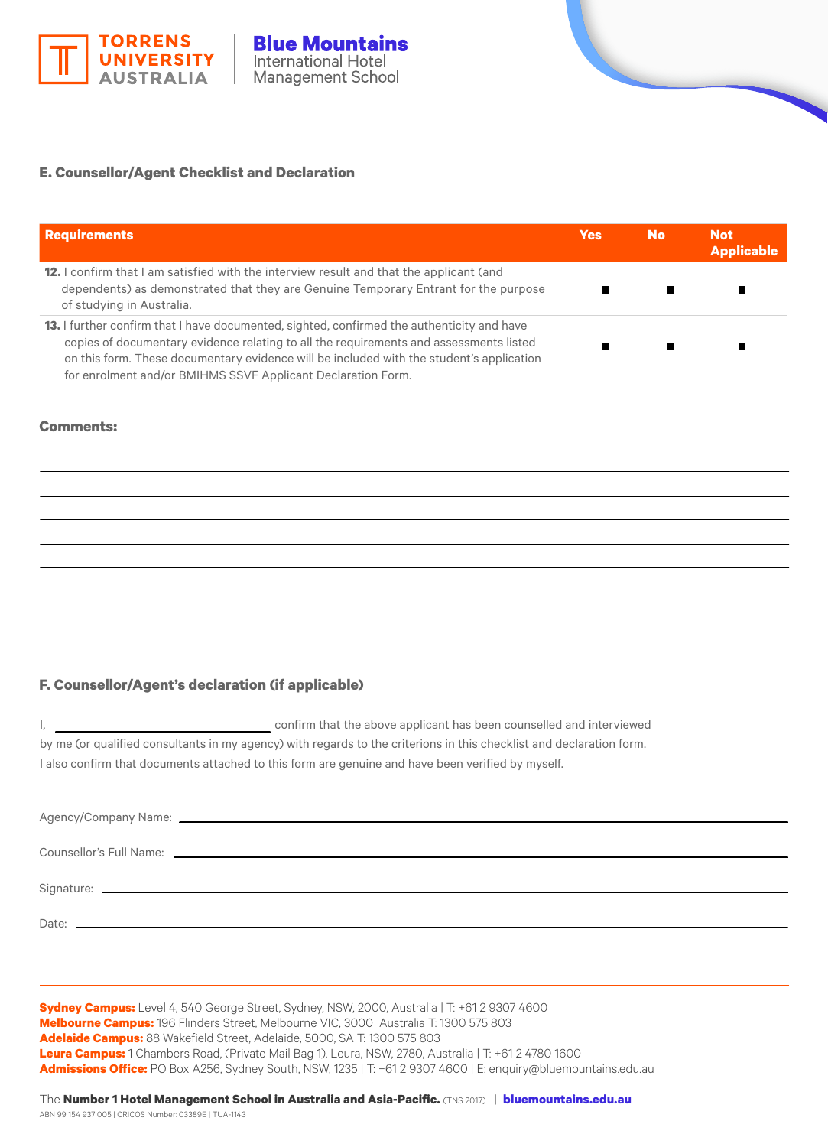

#### **E. Counsellor/Agent Checklist and Declaration**

| <b>Requirements</b>                                                                                                                                                                                                                                                                                                                                     | <b>Yes</b> | <b>No</b> | <b>Not</b><br><b>Applicable</b> |
|---------------------------------------------------------------------------------------------------------------------------------------------------------------------------------------------------------------------------------------------------------------------------------------------------------------------------------------------------------|------------|-----------|---------------------------------|
| <b>12.</b> I confirm that I am satisfied with the interview result and that the applicant (and<br>dependents) as demonstrated that they are Genuine Temporary Entrant for the purpose<br>of studying in Australia.                                                                                                                                      |            |           |                                 |
| <b>13.</b> I further confirm that I have documented, sighted, confirmed the authenticity and have<br>copies of documentary evidence relating to all the requirements and assessments listed<br>on this form. These documentary evidence will be included with the student's application<br>for enrolment and/or BMIHMS SSVF Applicant Declaration Form. |            |           |                                 |

#### **Comments:**

#### **F. Counsellor/Agent's declaration (if applicable)**

I, <u>confirm</u> that the above applicant has been counselled and interviewed by me (or qualified consultants in my agency) with regards to the criterions in this checklist and declaration form. I also confirm that documents attached to this form are genuine and have been verified by myself.

**Sydney Campus:** Level 4, 540 George Street, Sydney, NSW, 2000, Australia | T: +61 2 9307 4600 **Melbourne Campus:** 196 Flinders Street, Melbourne VIC, 3000 Australia T: 1300 575 803 **Adelaide Campus:** 88 Wakefield Street, Adelaide, 5000, SA T: 1300 575 803 **Leura Campus:** 1 Chambers Road, (Private Mail Bag 1), Leura, NSW, 2780, Australia | T: +61 2 4780 1600 **Admissions Office:** PO Box A256, Sydney South, NSW, 1235 | T: +61 2 9307 4600 | E: enquiry@bluemountains.edu.au